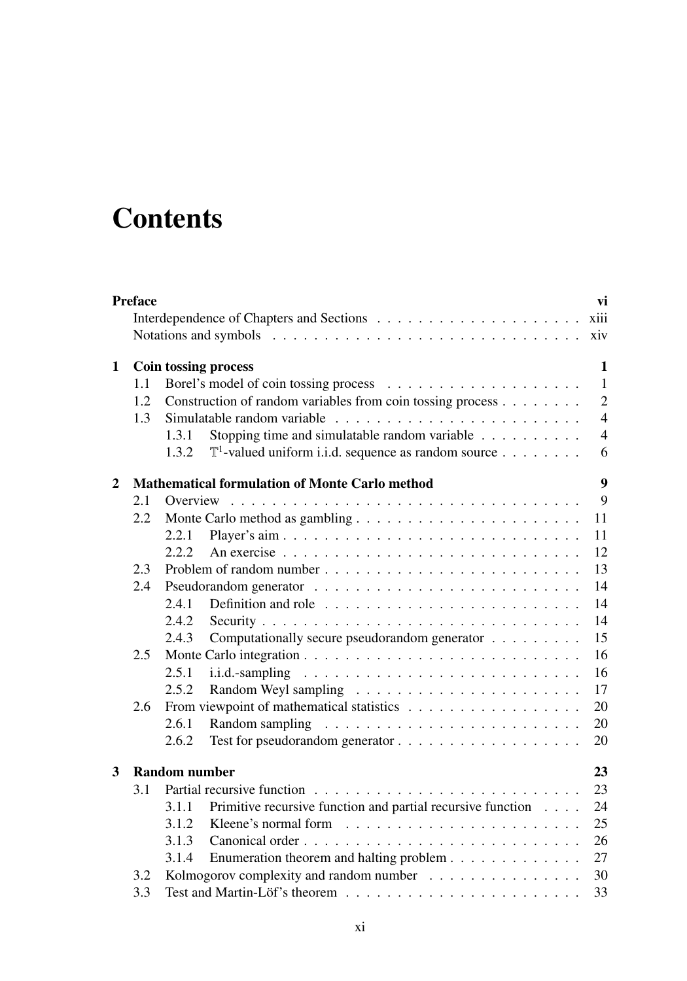## **Contents**

|              | <b>Preface</b> |                                                                          | vi             |
|--------------|----------------|--------------------------------------------------------------------------|----------------|
|              |                |                                                                          | xiii           |
|              |                |                                                                          | xiv            |
| $\mathbf{1}$ |                | Coin tossing process                                                     | 1              |
|              | 1.1            |                                                                          | $\mathbf{1}$   |
|              | 1.2            | Construction of random variables from coin tossing process               | $\overline{2}$ |
|              | 1.3            |                                                                          | $\overline{4}$ |
|              |                | Stopping time and simulatable random variable<br>1.3.1                   | $\overline{4}$ |
|              |                | $\mathbb{T}^1$ -valued uniform i.i.d. sequence as random source<br>1.3.2 | 6              |
| $\mathbf{2}$ |                | <b>Mathematical formulation of Monte Carlo method</b>                    | 9              |
|              | 2.1            |                                                                          | 9              |
|              | 2.2            |                                                                          | 11             |
|              |                | Player's aim<br>2.2.1                                                    | 11             |
|              |                | 2.2.2                                                                    | 12             |
|              | 2.3            |                                                                          | 13             |
|              | 2.4            |                                                                          | 14             |
|              |                | 2.4.1                                                                    | 14             |
|              |                | 2.4.2                                                                    | 14             |
|              |                | Computationally secure pseudorandom generator<br>2.4.3                   | 15             |
|              | 2.5            |                                                                          | 16             |
|              |                | 2.5.1                                                                    | 16             |
|              |                | 2.5.2                                                                    | 17             |
|              | 2.6            |                                                                          | 20             |
|              |                | 2.6.1                                                                    | 20             |
|              |                | 2.6.2                                                                    | 20             |
| 3            |                | <b>Random number</b>                                                     | 23             |
|              | 3.1            |                                                                          | 23             |
|              |                | Primitive recursive function and partial recursive function<br>3.1.1     | 24             |
|              |                | 3.1.2                                                                    | 25             |
|              |                | 3.1.3                                                                    | 26             |
|              |                | Enumeration theorem and halting problem<br>3.1.4                         | 27             |
|              | 3.2            | Kolmogorov complexity and random number                                  | 30             |
|              | 3.3            |                                                                          | 33             |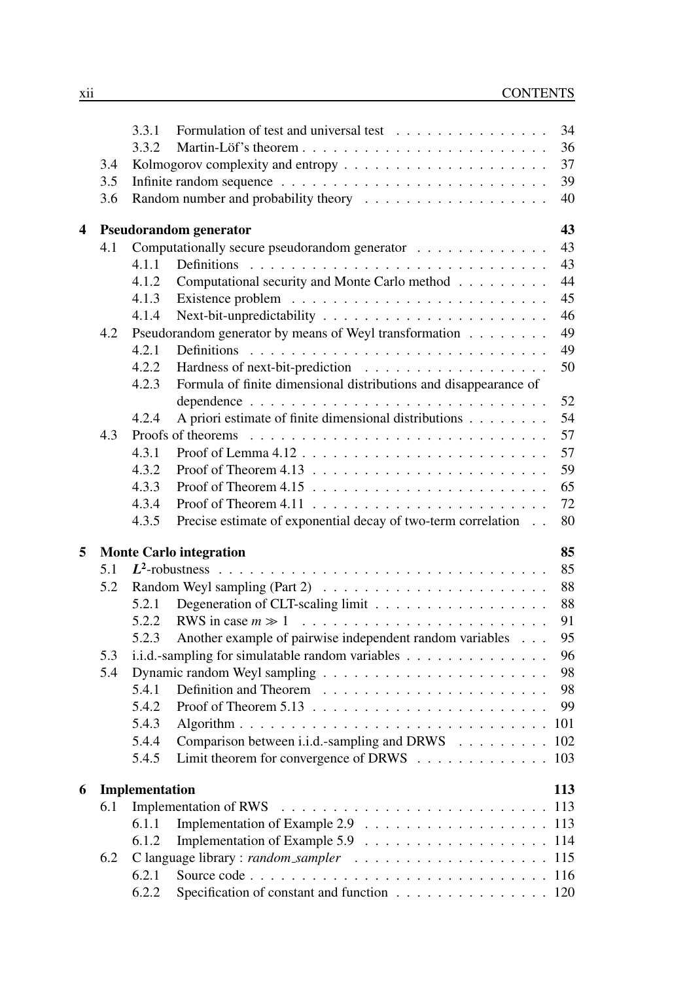|   |       | 3.3.1                                                                     | Formulation of test and universal test                                           | 34  |  |  |  |  |  |  |
|---|-------|---------------------------------------------------------------------------|----------------------------------------------------------------------------------|-----|--|--|--|--|--|--|
|   |       | 3.3.2                                                                     |                                                                                  | 36  |  |  |  |  |  |  |
|   | 3.4   |                                                                           |                                                                                  | 37  |  |  |  |  |  |  |
|   | 3.5   |                                                                           |                                                                                  | 39  |  |  |  |  |  |  |
|   | 3.6   |                                                                           |                                                                                  | 40  |  |  |  |  |  |  |
| 4 |       |                                                                           | <b>Pseudorandom generator</b>                                                    | 43  |  |  |  |  |  |  |
|   | 4.1   |                                                                           | Computationally secure pseudorandom generator                                    | 43  |  |  |  |  |  |  |
|   |       | 4.1.1                                                                     |                                                                                  | 43  |  |  |  |  |  |  |
|   |       | 4.1.2                                                                     | Computational security and Monte Carlo method                                    | 44  |  |  |  |  |  |  |
|   |       | 4.1.3                                                                     |                                                                                  | 45  |  |  |  |  |  |  |
|   | 4.1.4 |                                                                           |                                                                                  |     |  |  |  |  |  |  |
|   | 4.2   | Pseudorandom generator by means of Weyl transformation                    |                                                                                  |     |  |  |  |  |  |  |
|   |       | 4.2.1                                                                     |                                                                                  |     |  |  |  |  |  |  |
|   |       | 4.2.2                                                                     |                                                                                  |     |  |  |  |  |  |  |
|   |       | Formula of finite dimensional distributions and disappearance of<br>4.2.3 |                                                                                  |     |  |  |  |  |  |  |
|   |       |                                                                           |                                                                                  | 52  |  |  |  |  |  |  |
|   |       | 4.2.4                                                                     | A priori estimate of finite dimensional distributions                            | 54  |  |  |  |  |  |  |
|   | 4.3   |                                                                           |                                                                                  | 57  |  |  |  |  |  |  |
|   |       | 4.3.1                                                                     |                                                                                  | 57  |  |  |  |  |  |  |
|   |       | 4.3.2                                                                     | Proof of Theorem 4.13 $\dots \dots \dots \dots \dots \dots \dots \dots \dots$    | 59  |  |  |  |  |  |  |
|   |       | 4.3.3                                                                     |                                                                                  | 65  |  |  |  |  |  |  |
|   |       | 4.3.4                                                                     |                                                                                  | 72  |  |  |  |  |  |  |
|   |       | 4.3.5                                                                     | Precise estimate of exponential decay of two-term correlation                    | 80  |  |  |  |  |  |  |
| 5 |       |                                                                           | <b>Monte Carlo integration</b>                                                   | 85  |  |  |  |  |  |  |
|   | 5.1   |                                                                           |                                                                                  | 85  |  |  |  |  |  |  |
|   | 5.2   |                                                                           | Random Weyl sampling (Part 2) $\ldots \ldots \ldots \ldots \ldots \ldots \ldots$ | 88  |  |  |  |  |  |  |
|   |       | 5.2.1                                                                     |                                                                                  | 88  |  |  |  |  |  |  |
|   |       | 5.2.2                                                                     |                                                                                  | 91  |  |  |  |  |  |  |
|   |       | 5.2.3                                                                     | Another example of pairwise independent random variables                         | 95  |  |  |  |  |  |  |
|   | 5.3   | i.i.d.-sampling for simulatable random variables                          |                                                                                  |     |  |  |  |  |  |  |
|   | 5.4   |                                                                           |                                                                                  |     |  |  |  |  |  |  |
|   |       | 5.4.1                                                                     |                                                                                  | 98  |  |  |  |  |  |  |
|   |       | 5.4.2                                                                     |                                                                                  | 99  |  |  |  |  |  |  |
|   |       | 5.4.3                                                                     |                                                                                  |     |  |  |  |  |  |  |
|   |       | 5.4.4                                                                     | Comparison between i.i.d.-sampling and DRWS 102                                  |     |  |  |  |  |  |  |
|   |       | 5.4.5                                                                     | Limit theorem for convergence of DRWS 103                                        |     |  |  |  |  |  |  |
| 6 |       | Implementation                                                            |                                                                                  | 113 |  |  |  |  |  |  |
|   | 6.1   |                                                                           |                                                                                  |     |  |  |  |  |  |  |
|   |       | 6.1.1                                                                     |                                                                                  |     |  |  |  |  |  |  |
|   |       | 6.1.2                                                                     |                                                                                  |     |  |  |  |  |  |  |
|   | 6.2   |                                                                           |                                                                                  | 115 |  |  |  |  |  |  |
|   |       | 6.2.1                                                                     |                                                                                  |     |  |  |  |  |  |  |
|   |       | 6.2.2                                                                     | Specification of constant and function 120                                       |     |  |  |  |  |  |  |